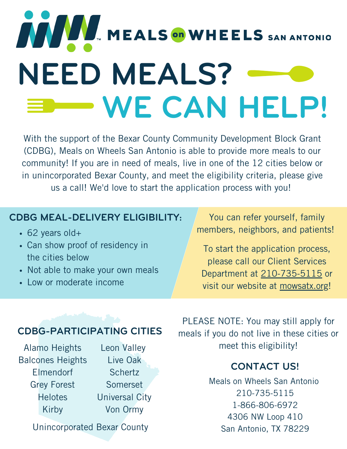# MEALS ON WHEELS SAN ANTONIO **NEED MEALS? WE CAN HELP!**

With the support of the Bexar County Community Development Block Grant (CDBG), Meals on Wheels San Antonio is able to provide more meals to our community! If you are in need of meals, live in one of the 12 cities below or in unincorporated Bexar County, and meet the eligibility criteria, please give us a call! We'd love to start the application process with you!

### **CDBG MEAL-DELIVERY ELIGIBILITY:** You can refer yourself, family

- 62 years old+
- Can show proof of residency in the cities below
- Not able to make your own meals
- Low or moderate income

members, neighbors, and patients!

To start the application process, please call our Client Services Department at 210-735-5115 or visit our website at mowsatx.org!

### **CDBG-PARTICIPATING CITIES**

Alamo Heights Balcones Heights Elmendorf Grey Forest **Helotes** Kirby

Leon Valley Live Oak **Schertz** Somerset Universal City Von Ormy

Unincorporated Bexar County

PLEASE NOTE: You may still apply for meals if you do not live in these cities or meet this eligibility!

### **CONTACT US!**

Meals on Wheels San Antonio 210-735-5115 1-866-806-6972 4306 NW Loop 410 San Antonio, TX 78229